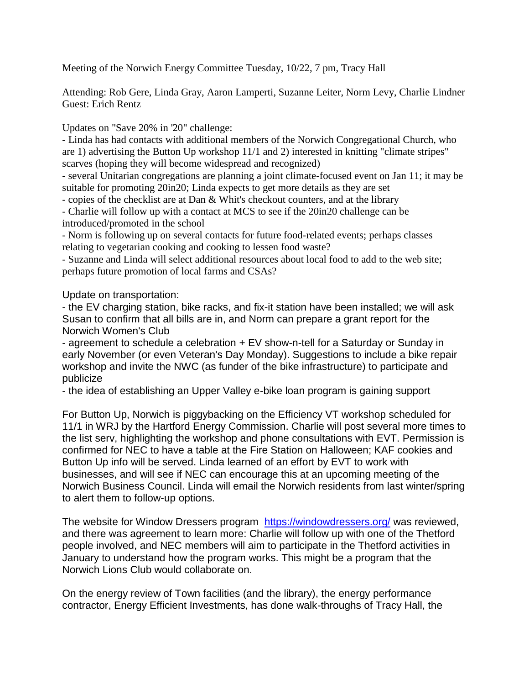Meeting of the Norwich Energy Committee Tuesday, 10/22, 7 pm, Tracy Hall

Attending: Rob Gere, Linda Gray, Aaron Lamperti, Suzanne Leiter, Norm Levy, Charlie Lindner Guest: Erich Rentz

Updates on "Save 20% in '20" challenge:

- Linda has had contacts with additional members of the Norwich Congregational Church, who are 1) advertising the Button Up workshop 11/1 and 2) interested in knitting "climate stripes" scarves (hoping they will become widespread and recognized)

- several Unitarian congregations are planning a joint climate-focused event on Jan 11; it may be suitable for promoting 20in20; Linda expects to get more details as they are set

- copies of the checklist are at Dan & Whit's checkout counters, and at the library

- Charlie will follow up with a contact at MCS to see if the 20in20 challenge can be introduced/promoted in the school

- Norm is following up on several contacts for future food-related events; perhaps classes relating to vegetarian cooking and cooking to lessen food waste?

- Suzanne and Linda will select additional resources about local food to add to the web site; perhaps future promotion of local farms and CSAs?

Update on transportation:

- the EV charging station, bike racks, and fix-it station have been installed; we will ask Susan to confirm that all bills are in, and Norm can prepare a grant report for the Norwich Women's Club

- agreement to schedule a celebration + EV show-n-tell for a Saturday or Sunday in early November (or even Veteran's Day Monday). Suggestions to include a bike repair workshop and invite the NWC (as funder of the bike infrastructure) to participate and publicize

- the idea of establishing an Upper Valley e-bike loan program is gaining support

For Button Up, Norwich is piggybacking on the Efficiency VT workshop scheduled for 11/1 in WRJ by the Hartford Energy Commission. Charlie will post several more times to the list serv, highlighting the workshop and phone consultations with EVT. Permission is confirmed for NEC to have a table at the Fire Station on Halloween; KAF cookies and Button Up info will be served. Linda learned of an effort by EVT to work with businesses, and will see if NEC can encourage this at an upcoming meeting of the Norwich Business Council. Linda will email the Norwich residents from last winter/spring to alert them to follow-up options.

The website for Window Dressers program <https://windowdressers.org/> was reviewed, and there was agreement to learn more: Charlie will follow up with one of the Thetford people involved, and NEC members will aim to participate in the Thetford activities in January to understand how the program works. This might be a program that the Norwich Lions Club would collaborate on.

On the energy review of Town facilities (and the library), the energy performance contractor, Energy Efficient Investments, has done walk-throughs of Tracy Hall, the